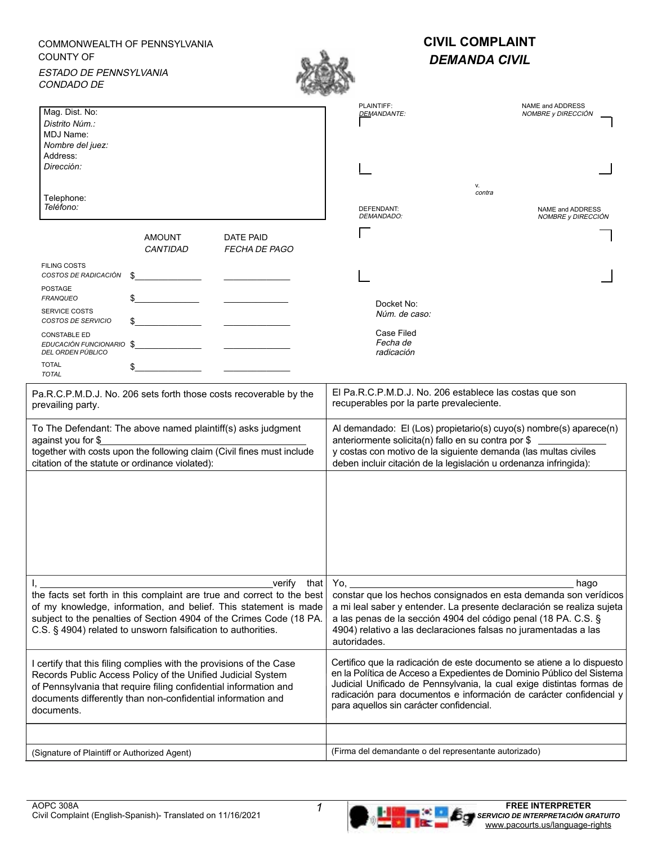## COMMONWEALTH OF PENNSYLVANIA COUNTY OF

ESTADO DE PENNSYLVANIA CONDADO DE



## **CIVIL COMPLAINT** *DEMANDA CIVIL*

| Mag. Dist. No:<br>Distrito Núm.:                                                                                                                |                                  |                                   | PLAINTIFF:<br><u>DEMANDANTE:</u>                                                                                                                                                            | NAME and ADDRESS<br><b>NOMBRE y DIRECCIÓN</b>                                                                                                   |
|-------------------------------------------------------------------------------------------------------------------------------------------------|----------------------------------|-----------------------------------|---------------------------------------------------------------------------------------------------------------------------------------------------------------------------------------------|-------------------------------------------------------------------------------------------------------------------------------------------------|
| MDJ Name:                                                                                                                                       |                                  |                                   |                                                                                                                                                                                             |                                                                                                                                                 |
| Nombre del juez:<br>Address:                                                                                                                    |                                  |                                   |                                                                                                                                                                                             |                                                                                                                                                 |
| Dirección:                                                                                                                                      |                                  |                                   |                                                                                                                                                                                             |                                                                                                                                                 |
| Telephone:                                                                                                                                      |                                  |                                   |                                                                                                                                                                                             | v.<br>contra                                                                                                                                    |
| Teléfono:                                                                                                                                       |                                  |                                   | <b>DEFENDANT:</b><br>DEMANDADO:                                                                                                                                                             | NAME and ADDRESS<br><b>NOMBRE y DIRECCIÓN</b>                                                                                                   |
|                                                                                                                                                 | <b>AMOUNT</b><br><b>CANTIDAD</b> | DATE PAID<br><b>FECHA DE PAGO</b> |                                                                                                                                                                                             |                                                                                                                                                 |
| <b>FILING COSTS</b><br>COSTOS DE RADICACIÓN                                                                                                     | S                                |                                   |                                                                                                                                                                                             |                                                                                                                                                 |
| <b>POSTAGE</b><br><b>FRANQUEO</b>                                                                                                               |                                  |                                   |                                                                                                                                                                                             |                                                                                                                                                 |
| <b>SERVICE COSTS</b><br>COSTOS DE SERVICIO                                                                                                      |                                  |                                   | Docket No:<br>Núm. de caso:                                                                                                                                                                 |                                                                                                                                                 |
| <b>CONSTABLE ED</b><br>EDUCACIÓN FUNCIONARIO \$<br>DEL ORDEN PÚBLICO                                                                            |                                  |                                   | Case Filed<br>Fecha de                                                                                                                                                                      |                                                                                                                                                 |
| <b>TOTAL</b><br><b>TOTAL</b>                                                                                                                    |                                  |                                   | radicación                                                                                                                                                                                  |                                                                                                                                                 |
| Pa.R.C.P.M.D.J. No. 206 sets forth those costs recoverable by the<br>prevailing party.                                                          |                                  |                                   | El Pa.R.C.P.M.D.J. No. 206 establece las costas que son<br>recuperables por la parte prevaleciente.                                                                                         |                                                                                                                                                 |
| To The Defendant: The above named plaintiff(s) asks judgment                                                                                    |                                  |                                   | Al demandado: El (Los) propietario(s) cuyo(s) nombre(s) aparece(n)                                                                                                                          |                                                                                                                                                 |
| against you for \$<br>together with costs upon the following claim (Civil fines must include<br>citation of the statute or ordinance violated): |                                  |                                   | anteriormente solicita(n) fallo en su contra por \$<br>y costas con motivo de la siguiente demanda (las multas civiles<br>deben incluir citación de la legislación u ordenanza infringida): |                                                                                                                                                 |
|                                                                                                                                                 |                                  |                                   |                                                                                                                                                                                             |                                                                                                                                                 |
|                                                                                                                                                 |                                  |                                   |                                                                                                                                                                                             |                                                                                                                                                 |
|                                                                                                                                                 |                                  |                                   |                                                                                                                                                                                             |                                                                                                                                                 |
|                                                                                                                                                 |                                  |                                   |                                                                                                                                                                                             |                                                                                                                                                 |
|                                                                                                                                                 |                                  |                                   |                                                                                                                                                                                             |                                                                                                                                                 |
|                                                                                                                                                 |                                  |                                   |                                                                                                                                                                                             |                                                                                                                                                 |
| verify.<br>that<br>the facts set forth in this complaint are true and correct to the best                                                       |                                  |                                   | $Yo, _{ }$                                                                                                                                                                                  | hago<br>constar que los hechos consignados en esta demanda son verídicos                                                                        |
| of my knowledge, information, and belief. This statement is made<br>subject to the penalties of Section 4904 of the Crimes Code (18 PA.         |                                  |                                   |                                                                                                                                                                                             | a mi leal saber y entender. La presente declaración se realiza sujeta<br>a las penas de la sección 4904 del código penal (18 PA. C.S. §         |
| C.S. § 4904) related to unsworn falsification to authorities.                                                                                   |                                  |                                   | autoridades.                                                                                                                                                                                | 4904) relativo a las declaraciones falsas no juramentadas a las                                                                                 |
| I certify that this filing complies with the provisions of the Case                                                                             |                                  |                                   |                                                                                                                                                                                             | Certifico que la radicación de este documento se atiene a lo dispuesto<br>en la Política de Acceso a Expedientes de Dominio Público del Sistema |
| Records Public Access Policy of the Unified Judicial System<br>of Pennsylvania that require filing confidential information and                 |                                  |                                   |                                                                                                                                                                                             | Judicial Unificado de Pennsylvania, la cual exige distintas formas de<br>radicación para documentos e información de carácter confidencial y    |
| documents differently than non-confidential information and<br>documents.                                                                       |                                  |                                   | para aquellos sin carácter confidencial.                                                                                                                                                    |                                                                                                                                                 |
|                                                                                                                                                 |                                  |                                   |                                                                                                                                                                                             |                                                                                                                                                 |
| (Signature of Plaintiff or Authorized Agent)                                                                                                    |                                  |                                   | (Firma del demandante o del representante autorizado)                                                                                                                                       |                                                                                                                                                 |



녝 ı

änë-

*1*